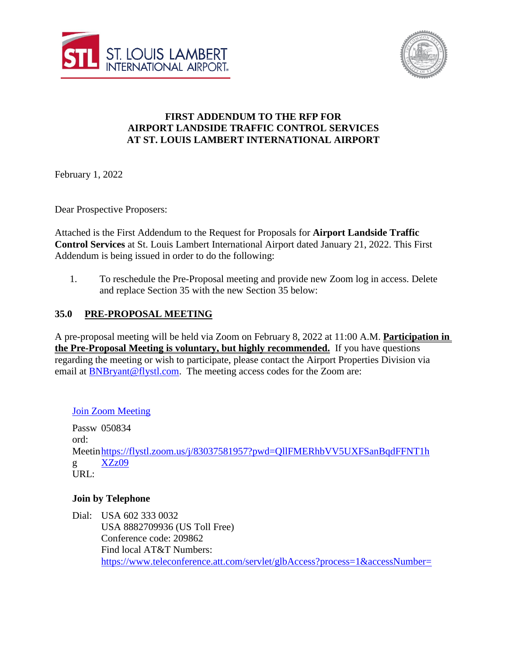



## **FIRST ADDENDUM TO THE RFP FOR AIRPORT LANDSIDE TRAFFIC CONTROL SERVICES AT ST. LOUIS LAMBERT INTERNATIONAL AIRPORT**

February 1, 2022

Dear Prospective Proposers:

Attached is the First Addendum to the Request for Proposals for **Airport Landside Traffic Control Services** at St. Louis Lambert International Airport dated January 21, 2022. This First Addendum is being issued in order to do the following:

1. To reschedule the Pre-Proposal meeting and provide new Zoom log in access. Delete and replace Section 35 with the new Section 35 below:

## **35.0 PRE-PROPOSAL MEETING**

A pre-proposal meeting will be held via Zoom on February 8, 2022 at 11:00 A.M. **Participation in the Pre-Proposal Meeting is voluntary, but highly recommended.** If you have questions regarding the meeting or wish to participate, please contact the Airport Properties Division via email at [BNBryant@flystl.com.](mailto:BNBryant@flystl.com) The meeting access codes for the Zoom are:

[Join Zoom Meeting](https://flystl.zoom.us/j/83037581957?pwd=QllFMERhbVV5UXFSanBqdFFNT1hXZz09)

Passw 050834 ord: Meetin[https://flystl.zoom.us/j/83037581957?pwd=QllFMERhbVV5UXFSanBqdFFNT1h](https://flystl.zoom.us/j/83037581957?pwd=QllFMERhbVV5UXFSanBqdFFNT1hXZz09) g URL: [XZz09](https://flystl.zoom.us/j/83037581957?pwd=QllFMERhbVV5UXFSanBqdFFNT1hXZz09)

## **Join by Telephone**

Dial: USA 602 333 0032 USA 8882709936 (US Toll Free) Conference code: 209862 Find local AT&T Numbers: [https://www.teleconference.att.com/servlet/glbAccess?process=1&accessNumber=](https://www.teleconference.att.com/servlet/glbAccess?process=1&accessNumber=8882709936&accessCode=209862)